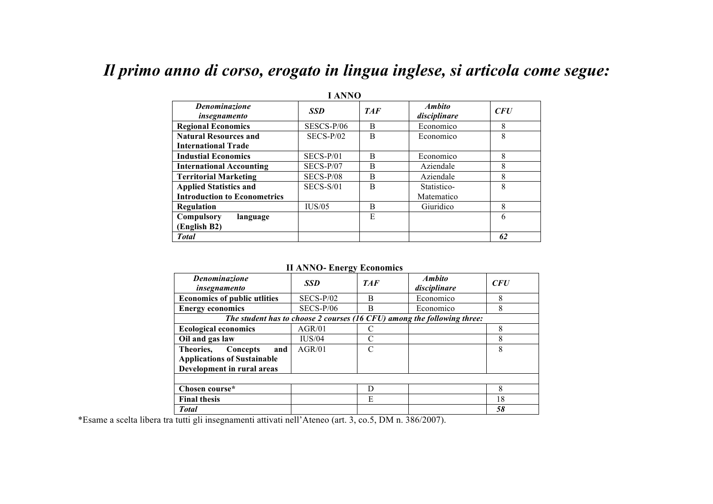## *Il primo anno di corso, erogato in lingua inglese, si articola come segue:*

| 1 ANNU                               |              |            |                                      |            |  |  |  |  |
|--------------------------------------|--------------|------------|--------------------------------------|------------|--|--|--|--|
| <b>Denominazione</b><br>insegnamento | <b>SSD</b>   | <b>TAF</b> | <i><b>Ambito</b></i><br>disciplinare | <b>CFU</b> |  |  |  |  |
| <b>Regional Economics</b>            | $SESCS-P/06$ | B          | Economico                            | 8          |  |  |  |  |
| <b>Natural Resources and</b>         | $SECS-P/02$  | B          | Economico                            | 8          |  |  |  |  |
| <b>International Trade</b>           |              |            |                                      |            |  |  |  |  |
| <b>Industial Economics</b>           | SECS-P/01    | B          | Economico                            | 8          |  |  |  |  |
| <b>International Accounting</b>      | $SECS-P/07$  | B          | Aziendale                            | 8          |  |  |  |  |
| <b>Territorial Marketing</b>         | $SECS-P/08$  | B          | Aziendale                            | 8          |  |  |  |  |
| <b>Applied Statistics and</b>        | $SECS-S/01$  | B          | Statistico-                          | 8          |  |  |  |  |
| <b>Introduction to Econometrics</b>  |              |            | Matematico                           |            |  |  |  |  |
| <b>Regulation</b>                    | IUS/05       | B          | Giuridico                            | 8          |  |  |  |  |
| Compulsory<br>language               |              | E          |                                      | 6          |  |  |  |  |
| (English B2)                         |              |            |                                      |            |  |  |  |  |
| <b>Total</b>                         |              |            |                                      | 62         |  |  |  |  |

**I ANNO**

**II ANNO- Energy Economics**

| $     -$                                                                |             |            |                               |     |  |  |
|-------------------------------------------------------------------------|-------------|------------|-------------------------------|-----|--|--|
| <b>Denominazione</b><br>insegnamento                                    | <b>SSD</b>  | <b>TAF</b> | <b>Ambito</b><br>disciplinare | CFU |  |  |
| <b>Economics of public utlities</b>                                     | $SECS-P/02$ | B          | Economico                     | 8   |  |  |
| <b>Energy economics</b>                                                 | $SECS-P/06$ | B          | Economico                     | 8   |  |  |
| The student has to choose 2 courses (16 CFU) among the following three: |             |            |                               |     |  |  |
| <b>Ecological economics</b>                                             | AGR/01      |            |                               | 8   |  |  |
| Oil and gas law                                                         | IUS/04      | C          |                               | 8   |  |  |
| Theories,<br>Concepts<br>and                                            | AGR/01      | C          |                               | 8   |  |  |
| <b>Applications of Sustainable</b>                                      |             |            |                               |     |  |  |
| Development in rural areas                                              |             |            |                               |     |  |  |
|                                                                         |             |            |                               |     |  |  |
| Chosen course*                                                          |             | D          |                               | 8   |  |  |
| <b>Final thesis</b>                                                     |             | E          |                               | 18  |  |  |
| <b>Total</b>                                                            |             |            |                               | 58  |  |  |

\*Esame a scelta libera tra tutti gli insegnamenti attivati nell'Ateneo (art. 3, co.5, DM n. 386/2007).